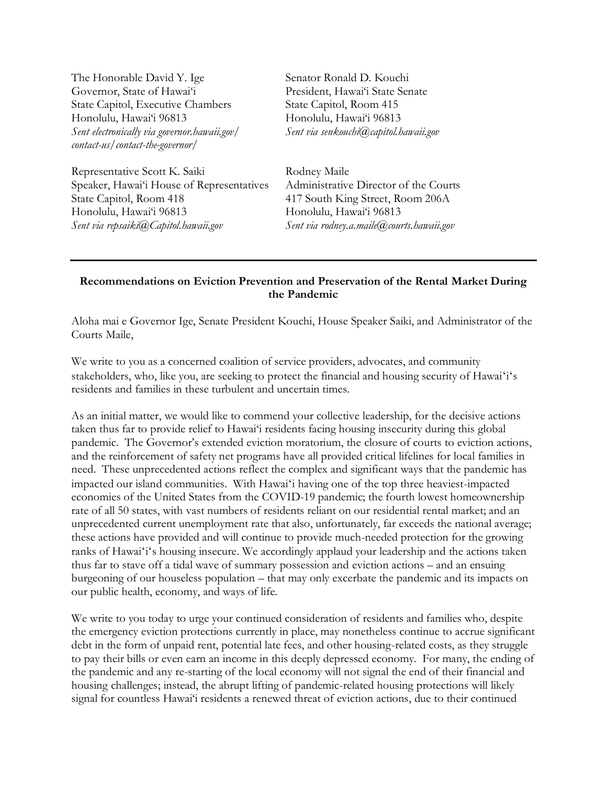The Honorable David Y. Ige Senator Ronald D. Kouchi Governor, State of Hawai'i President, Hawai'i State Senate State Capitol, Executive Chambers State Capitol, Room 415 Honolulu, Hawai'i 96813 Honolulu, Hawai'i 96813 *Sent electronically via governor.hawaii.gov/ Sent via senkouchi@capitol.hawaii.gov contact-us/contact-the-governor/*

Representative Scott K. Saiki Rodney Maile Speaker, Hawai'i House of Representatives Administrative Director of the Courts State Capitol, Room 418 417 South King Street, Room 206A Honolulu, Hawai'i 96813 Honolulu, Hawai'i 96813 *Sent via repsaiki@Capitol.hawaii.gov Sent via rodney.a.maile@courts.hawaii.gov*

## **Recommendations on Eviction Prevention and Preservation of the Rental Market During the Pandemic**

Aloha mai e Governor Ige, Senate President Kouchi, House Speaker Saiki, and Administrator of the Courts Maile,

We write to you as a concerned coalition of service providers, advocates, and community stakeholders, who, like you, are seeking to protect the financial and housing security of Hawaiʻiʻs residents and families in these turbulent and uncertain times.

As an initial matter, we would like to commend your collective leadership, for the decisive actions taken thus far to provide relief to Hawai'i residents facing housing insecurity during this global pandemic. The Governor's extended eviction moratorium, the closure of courts to eviction actions, and the reinforcement of safety net programs have all provided critical lifelines for local families in need. These unprecedented actions reflect the complex and significant ways that the pandemic has impacted our island communities. With Hawaiʻi having one of the top three heaviest-impacted economies of the United States from the COVID-19 pandemic; the fourth lowest homeownership rate of all 50 states, with vast numbers of residents reliant on our residential rental market; and an unprecedented current unemployment rate that also, unfortunately, far exceeds the national average; these actions have provided and will continue to provide much-needed protection for the growing ranks of Hawaiʻiʻs housing insecure. We accordingly applaud your leadership and the actions taken thus far to stave off a tidal wave of summary possession and eviction actions – and an ensuing burgeoning of our houseless population – that may only excerbate the pandemic and its impacts on our public health, economy, and ways of life.

We write to you today to urge your continued consideration of residents and families who, despite the emergency eviction protections currently in place, may nonetheless continue to accrue significant debt in the form of unpaid rent, potential late fees, and other housing-related costs, as they struggle to pay their bills or even earn an income in this deeply depressed economy. For many, the ending of the pandemic and any re-starting of the local economy will not signal the end of their financial and housing challenges; instead, the abrupt lifting of pandemic-related housing protections will likely signal for countless Hawai'i residents a renewed threat of eviction actions, due to their continued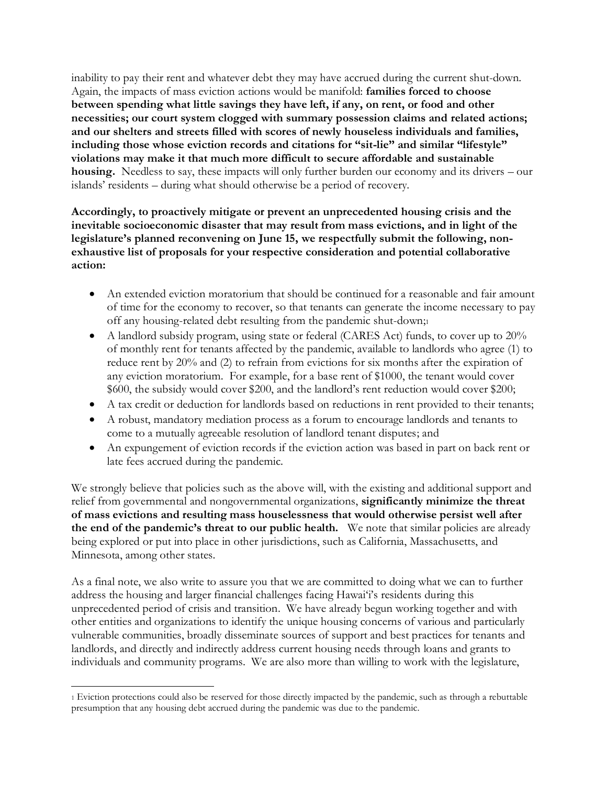inability to pay their rent and whatever debt they may have accrued during the current shut-down. Again, the impacts of mass eviction actions would be manifold: **families forced to choose between spending what little savings they have left, if any, on rent, or food and other necessities; our court system clogged with summary possession claims and related actions; and our shelters and streets filled with scores of newly houseless individuals and families, including those whose eviction records and citations for "sit-lie" and similar "lifestyle" violations may make it that much more difficult to secure affordable and sustainable housing.** Needless to say, these impacts will only further burden our economy and its drivers – our islands' residents – during what should otherwise be a period of recovery.

**Accordingly, to proactively mitigate or prevent an unprecedented housing crisis and the inevitable socioeconomic disaster that may result from mass evictions, and in light of the legislature's planned reconvening on June 15, we respectfully submit the following, nonexhaustive list of proposals for your respective consideration and potential collaborative action:**

- An extended eviction moratorium that should be continued for a reasonable and fair amount of time for the economy to recover, so that tenants can generate the income necessary to pay off any housing-related debt resulting from the pandemic shut-down;<sup>1</sup>
- A landlord subsidy program, using state or federal (CARES Act) funds, to cover up to 20% of monthly rent for tenants affected by the pandemic, available to landlords who agree (1) to reduce rent by 20% and (2) to refrain from evictions for six months after the expiration of any eviction moratorium. For example, for a base rent of \$1000, the tenant would cover \$600, the subsidy would cover \$200, and the landlord's rent reduction would cover \$200;
- A tax credit or deduction for landlords based on reductions in rent provided to their tenants;
- A robust, mandatory mediation process as a forum to encourage landlords and tenants to come to a mutually agreeable resolution of landlord tenant disputes; and
- An expungement of eviction records if the eviction action was based in part on back rent or late fees accrued during the pandemic.

We strongly believe that policies such as the above will, with the existing and additional support and relief from governmental and nongovernmental organizations, **significantly minimize the threat of mass evictions and resulting mass houselessness that would otherwise persist well after the end of the pandemic's threat to our public health.** We note that similar policies are already being explored or put into place in other jurisdictions, such as California, Massachusetts, and Minnesota, among other states.

As a final note, we also write to assure you that we are committed to doing what we can to further address the housing and larger financial challenges facing Hawai'i's residents during this unprecedented period of crisis and transition. We have already begun working together and with other entities and organizations to identify the unique housing concerns of various and particularly vulnerable communities, broadly disseminate sources of support and best practices for tenants and landlords, and directly and indirectly address current housing needs through loans and grants to individuals and community programs. We are also more than willing to work with the legislature,

<sup>1</sup> Eviction protections could also be reserved for those directly impacted by the pandemic, such as through a rebuttable presumption that any housing debt accrued during the pandemic was due to the pandemic.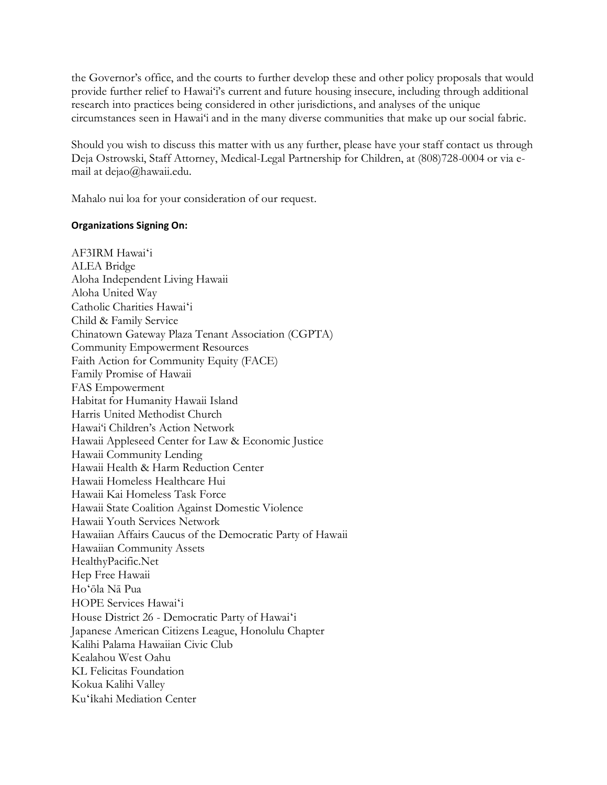the Governor's office, and the courts to further develop these and other policy proposals that would provide further relief to Hawai'i's current and future housing insecure, including through additional research into practices being considered in other jurisdictions, and analyses of the unique circumstances seen in Hawai'i and in the many diverse communities that make up our social fabric.

Should you wish to discuss this matter with us any further, please have your staff contact us through Deja Ostrowski, Staff Attorney, Medical-Legal Partnership for Children, at (808)728-0004 or via email at dejao@hawaii.edu.

Mahalo nui loa for your consideration of our request.

## **Organizations Signing On:**

AF3IRM Hawaiʻi ALEA Bridge Aloha Independent Living Hawaii Aloha United Way Catholic Charities Hawaiʻi Child & Family Service Chinatown Gateway Plaza Tenant Association (CGPTA) Community Empowerment Resources Faith Action for Community Equity (FACE) Family Promise of Hawaii FAS Empowerment Habitat for Humanity Hawaii Island Harris United Methodist Church Hawai'i Children's Action Network Hawaii Appleseed Center for Law & Economic Justice Hawaii Community Lending Hawaii Health & Harm Reduction Center Hawaii Homeless Healthcare Hui Hawaii Kai Homeless Task Force Hawaii State Coalition Against Domestic Violence Hawaii Youth Services Network Hawaiian Affairs Caucus of the Democratic Party of Hawaii Hawaiian Community Assets HealthyPacific.Net Hep Free Hawaii Hoʻōla Nā Pua HOPE Services Hawaiʻi House District 26 - Democratic Party of Hawaiʻi Japanese American Citizens League, Honolulu Chapter Kalihi Palama Hawaiian Civic Club Kealahou West Oahu KL Felicitas Foundation Kokua Kalihi Valley Kuʻikahi Mediation Center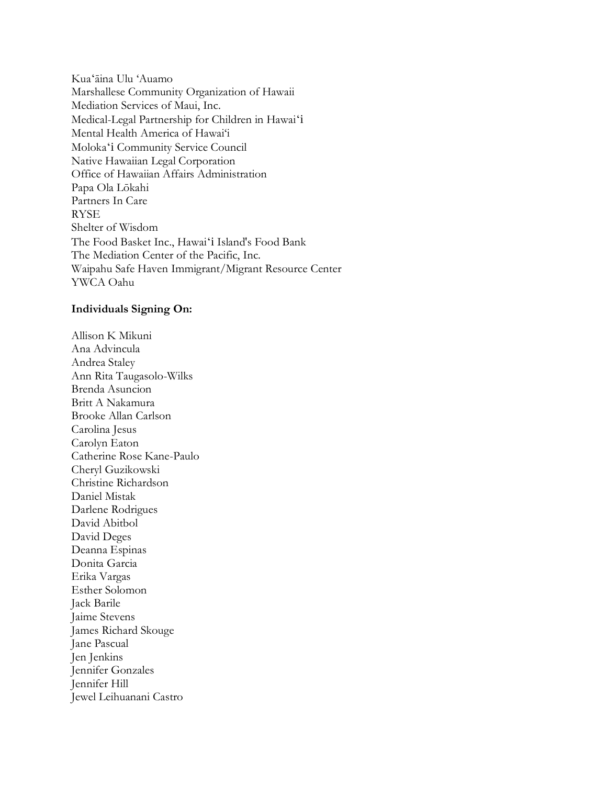Kuaʻāina Ulu 'Auamo Marshallese Community Organization of Hawaii Mediation Services of Maui, Inc. Medical-Legal Partnership for Children in Hawaiʻi Mental Health America of Hawai'i Molokaʻi Community Service Council Native Hawaiian Legal Corporation Office of Hawaiian Affairs Administration Papa Ola Lōkahi Partners In Care RYSE Shelter of Wisdom The Food Basket Inc., Hawaiʻi Island's Food Bank The Mediation Center of the Pacific, Inc. Waipahu Safe Haven Immigrant/Migrant Resource Center YWCA Oahu

## **Individuals Signing On:**

Allison K Mikuni Ana Advincula Andrea Staley Ann Rita Taugasolo-Wilks Brenda Asuncion Britt A Nakamura Brooke Allan Carlson Carolina Jesus Carolyn Eaton Catherine Rose Kane-Paulo Cheryl Guzikowski Christine Richardson Daniel Mistak Darlene Rodrigues David Abitbol David Deges Deanna Espinas Donita Garcia Erika Vargas Esther Solomon Jack Barile Jaime Stevens James Richard Skouge Jane Pascual Jen Jenkins Jennifer Gonzales Jennifer Hill Jewel Leihuanani Castro